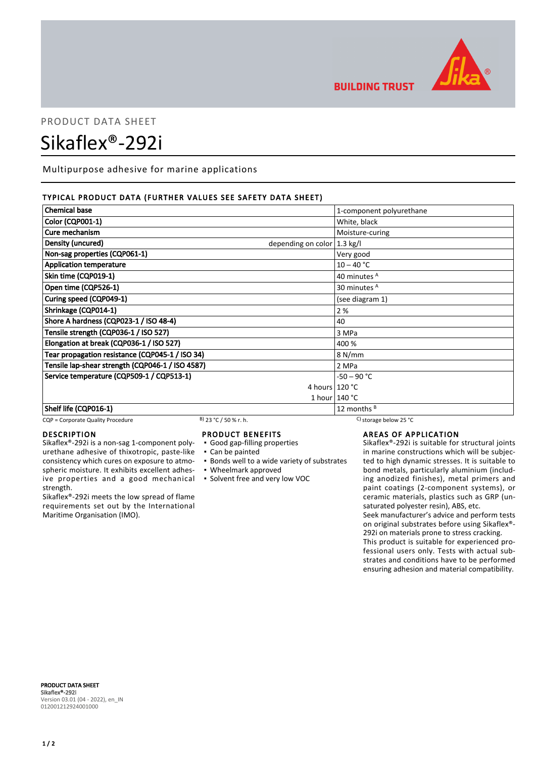

## **BUILDING TRUST**

# PRODUCT DATA SHEET Sikaflex®-292i

Multipurpose adhesive for marine applications

## TYPICAL PRODUCT DATA (FURTHER VALUES SEE SAFETY DATA SHEET)

| <b>Chemical base</b>                                        | 1-component polyurethane |
|-------------------------------------------------------------|--------------------------|
| <b>Color (CQP001-1)</b>                                     | White, black             |
| Cure mechanism                                              | Moisture-curing          |
| Density (uncured)<br>depending on color $ 1.3 \text{ kg}/I$ |                          |
| Non-sag properties (CQP061-1)                               | Very good                |
| <b>Application temperature</b>                              | $10 - 40 °C$             |
| Skin time (CQP019-1)                                        | 40 minutes A             |
| Open time (CQP526-1)                                        | 30 minutes <sup>A</sup>  |
| Curing speed (CQP049-1)                                     | (see diagram 1)          |
| Shrinkage (CQP014-1)                                        | 2 %                      |
| Shore A hardness (CQP023-1 / ISO 48-4)                      | 40                       |
| Tensile strength (CQP036-1 / ISO 527)                       | 3 MPa                    |
| Elongation at break (CQP036-1 / ISO 527)                    | 400 %                    |
| Tear propagation resistance (CQP045-1 / ISO 34)             | 8 N/mm                   |
| Tensile lap-shear strength (CQP046-1 / ISO 4587)            | 2 MPa                    |
| Service temperature (CQP509-1 / CQP513-1)                   | $-50 - 90 °C$            |
|                                                             | 4 hours $120 °C$         |
|                                                             | 1 hour $140 °C$          |
| Shelf life (CQP016-1)                                       | 12 months $B$            |

## CQP = Corporate Quality Procedure B) 23 °C / 50 % r. h. C) storage below 25 °C

#### DESCRIPTION

Sikaflex®-292i is a non-sag 1-component polyurethane adhesive of thixotropic, paste-like consistency which cures on exposure to atmospheric moisture. It exhibits excellent adhesive properties and a good mechanical strength.

Sikaflex®-292i meets the low spread of flame requirements set out by the International Maritime Organisation (IMO).

#### PRODUCT BENEFITS

- Good gap-filling properties
- Can be painted
- **Bonds well to a wide variety of substrates**
- Wheelmark approved
- Solvent free and very low VOC

## AREAS OF APPLICATION

Sikaflex®-292i is suitable for structural joints in marine constructions which will be subjected to high dynamic stresses. It is suitable to bond metals, particularly aluminium (including anodized finishes), metal primers and paint coatings (2-component systems), or ceramic materials, plastics such as GRP (unsaturated polyester resin), ABS, etc.

Seek manufacturer's advice and perform tests on original substrates before using Sikaflex®- 292i on materials prone to stress cracking.

This product is suitable for experienced professional users only. Tests with actual substrates and conditions have to be performed ensuring adhesion and material compatibility.